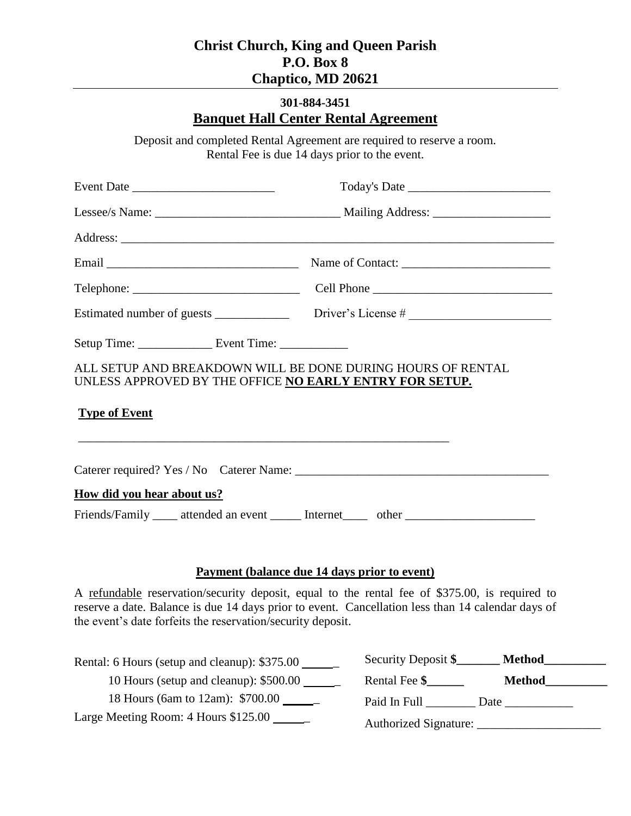## **301-884-3451 Banquet Hall Center Rental Agreement**

Deposit and completed Rental Agreement are required to reserve a room. Rental Fee is due 14 days prior to the event.

| ALL SETUP AND BREAKDOWN WILL BE DONE DURING HOURS OF RENTAL<br>UNLESS APPROVED BY THE OFFICE NO EARLY ENTRY FOR SETUP. |                                                                                                     |
|------------------------------------------------------------------------------------------------------------------------|-----------------------------------------------------------------------------------------------------|
| <b>Type of Event</b><br>,我们也不能在这里的时候,我们也不能在这里的时候,我们也不能在这里的时候,我们也不能会不能在这里的时候,我们也不能会不能会不能会不能会不能会不能会不能会不能会不               |                                                                                                     |
|                                                                                                                        |                                                                                                     |
| How did you hear about us?                                                                                             |                                                                                                     |
|                                                                                                                        | Friends/Family _____ attended an event _______ Internet ______ other ______________________________ |

#### **Payment (balance due 14 days prior to event)**

A refundable reservation/security deposit, equal to the rental fee of \$375.00, is required to reserve a date. Balance is due 14 days prior to event. Cancellation less than 14 calendar days of the event's date forfeits the reservation/security deposit.

| Rental: 6 Hours (setup and cleanup): \$375.00  | Security Deposit \$<br><b>Method</b> |
|------------------------------------------------|--------------------------------------|
| 10 Hours (setup and cleanup): \$500.00         | Rental Fee \$<br><b>Method</b>       |
| 18 Hours (6am to 12am): \$700.00 ______        | Paid In Full<br>Date                 |
| Large Meeting Room: 4 Hours $$125.00$ ________ | Authorized Signature:                |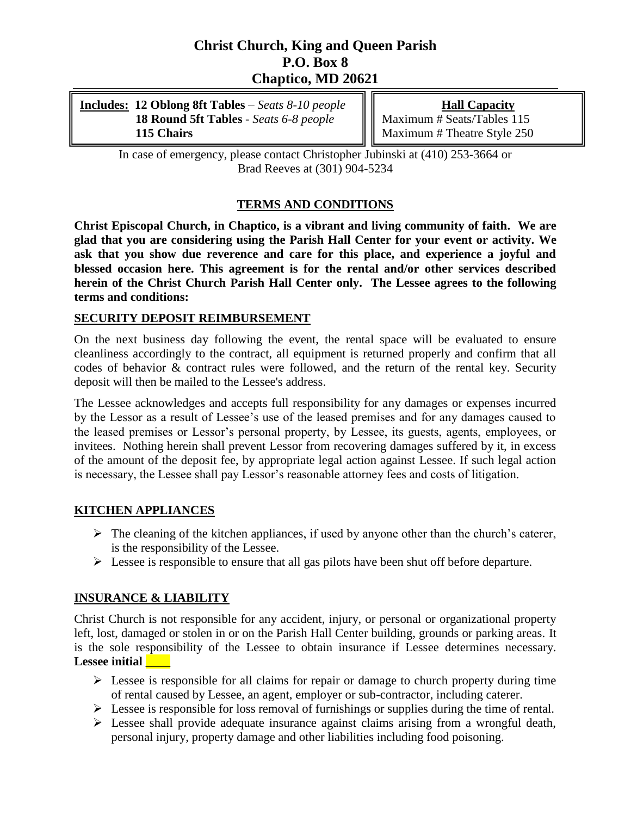| Includes: 12 Oblong 8ft Tables - Seats 8-10 people | <b>Hall Capacity</b>                |
|----------------------------------------------------|-------------------------------------|
| 18 Round 5ft Tables - Seats 6-8 people             | $\ \ $ Maximum # Seats/Tables 115   |
| 115 Chairs                                         | $\  \ $ Maximum # Theatre Style 250 |

In case of emergency, please contact Christopher Jubinski at (410) 253-3664 or Brad Reeves at (301) 904-5234

### **TERMS AND CONDITIONS**

**Christ Episcopal Church, in Chaptico, is a vibrant and living community of faith. We are glad that you are considering using the Parish Hall Center for your event or activity. We ask that you show due reverence and care for this place, and experience a joyful and blessed occasion here. This agreement is for the rental and/or other services described herein of the Christ Church Parish Hall Center only. The Lessee agrees to the following terms and conditions:**

### **SECURITY DEPOSIT REIMBURSEMENT**

On the next business day following the event, the rental space will be evaluated to ensure cleanliness accordingly to the contract, all equipment is returned properly and confirm that all codes of behavior & contract rules were followed, and the return of the rental key. Security deposit will then be mailed to the Lessee's address.

The Lessee acknowledges and accepts full responsibility for any damages or expenses incurred by the Lessor as a result of Lessee's use of the leased premises and for any damages caused to the leased premises or Lessor's personal property, by Lessee, its guests, agents, employees, or invitees. Nothing herein shall prevent Lessor from recovering damages suffered by it, in excess of the amount of the deposit fee, by appropriate legal action against Lessee. If such legal action is necessary, the Lessee shall pay Lessor's reasonable attorney fees and costs of litigation.

#### **KITCHEN APPLIANCES**

- $\triangleright$  The cleaning of the kitchen appliances, if used by anyone other than the church's caterer, is the responsibility of the Lessee.
- $\triangleright$  Lessee is responsible to ensure that all gas pilots have been shut off before departure.

### **INSURANCE & LIABILITY**

Christ Church is not responsible for any accident, injury, or personal or organizational property left, lost, damaged or stolen in or on the Parish Hall Center building, grounds or parking areas. It is the sole responsibility of the Lessee to obtain insurance if Lessee determines necessary. Lessee initial **Lessee** 

- $\triangleright$  Lessee is responsible for all claims for repair or damage to church property during time of rental caused by Lessee, an agent, employer or sub-contractor, including caterer.
- $\triangleright$  Lessee is responsible for loss removal of furnishings or supplies during the time of rental.
- $\triangleright$  Lessee shall provide adequate insurance against claims arising from a wrongful death, personal injury, property damage and other liabilities including food poisoning.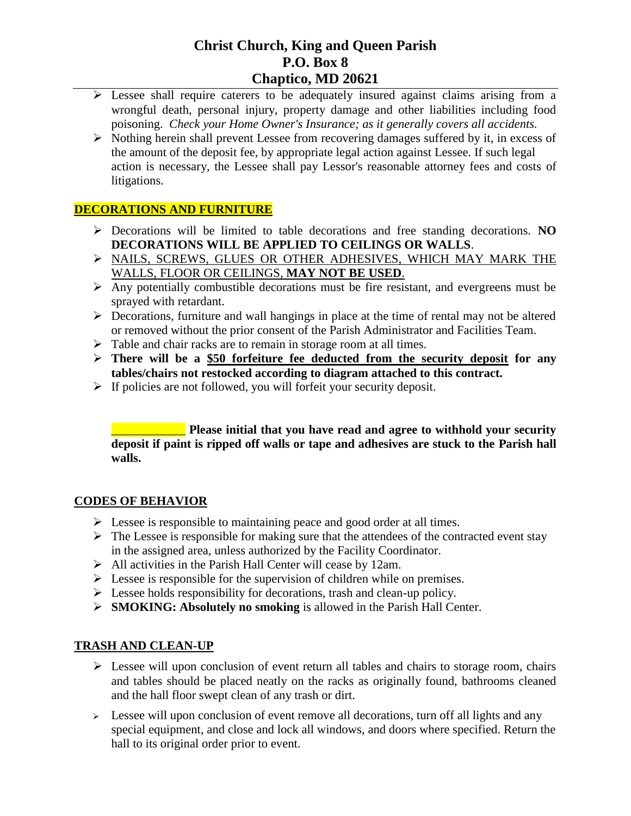- $\triangleright$  Lessee shall require caterers to be adequately insured against claims arising from a wrongful death, personal injury, property damage and other liabilities including food poisoning. *Check your Home Owner's Insurance; as it generally covers all accidents.*
- $\triangleright$  Nothing herein shall prevent Lessee from recovering damages suffered by it, in excess of the amount of the deposit fee, by appropriate legal action against Lessee. If such legal action is necessary, the Lessee shall pay Lessor's reasonable attorney fees and costs of litigations.

### **DECORATIONS AND FURNITURE**

- Decorations will be limited to table decorations and free standing decorations. **NO DECORATIONS WILL BE APPLIED TO CEILINGS OR WALLS**.
- > NAILS, SCREWS, GLUES OR OTHER ADHESIVES, WHICH MAY MARK THE WALLS, FLOOR OR CEILINGS, **MAY NOT BE USED**.
- $\triangleright$  Any potentially combustible decorations must be fire resistant, and evergreens must be sprayed with retardant.
- $\triangleright$  Decorations, furniture and wall hangings in place at the time of rental may not be altered or removed without the prior consent of the Parish Administrator and Facilities Team.
- $\triangleright$  Table and chair racks are to remain in storage room at all times.
- **There will be a \$50 forfeiture fee deducted from the security deposit for any tables/chairs not restocked according to diagram attached to this contract.**
- $\triangleright$  If policies are not followed, you will forfeit your security deposit.

\_\_\_\_\_\_\_\_\_\_\_\_ **Please initial that you have read and agree to withhold your security deposit if paint is ripped off walls or tape and adhesives are stuck to the Parish hall walls.**

#### **CODES OF BEHAVIOR**

- $\triangleright$  Lessee is responsible to maintaining peace and good order at all times.
- $\triangleright$  The Lessee is responsible for making sure that the attendees of the contracted event stay in the assigned area, unless authorized by the Facility Coordinator.
- $\triangleright$  All activities in the Parish Hall Center will cease by 12am.
- $\triangleright$  Lessee is responsible for the supervision of children while on premises.
- $\triangleright$  Lessee holds responsibility for decorations, trash and clean-up policy.
- **SMOKING: Absolutely no smoking** is allowed in the Parish Hall Center.

#### **TRASH AND CLEAN-UP**

- $\triangleright$  Lessee will upon conclusion of event return all tables and chairs to storage room, chairs and tables should be placed neatly on the racks as originally found, bathrooms cleaned and the hall floor swept clean of any trash or dirt.
- $\geq$  Lessee will upon conclusion of event remove all decorations, turn off all lights and any special equipment, and close and lock all windows, and doors where specified. Return the hall to its original order prior to event.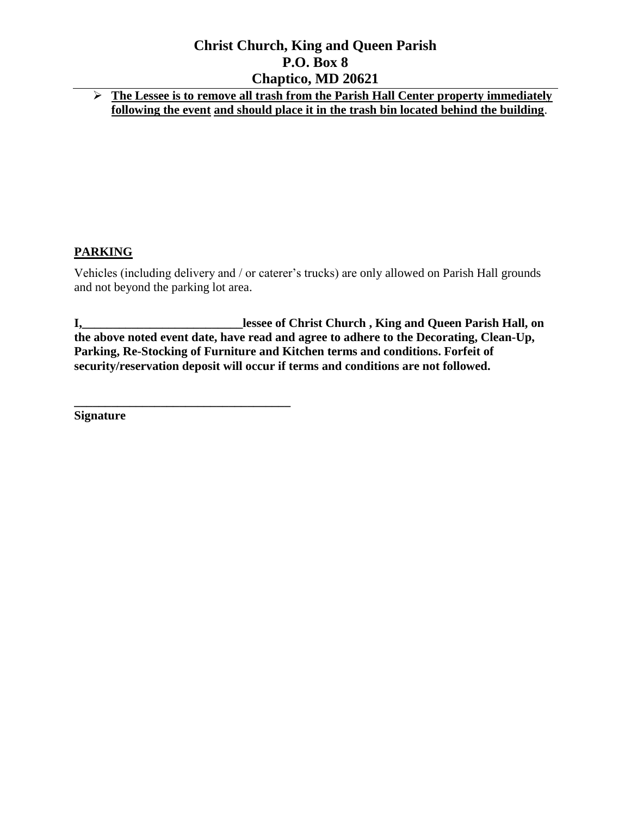**The Lessee is to remove all trash from the Parish Hall Center property immediately following the event and should place it in the trash bin located behind the building**.

### **PARKING**

Vehicles (including delivery and / or caterer's trucks) are only allowed on Parish Hall grounds and not beyond the parking lot area.

**I,\_\_\_\_\_\_\_\_\_\_\_\_\_\_\_\_\_\_\_\_\_\_\_\_\_\_lessee of Christ Church , King and Queen Parish Hall, on the above noted event date, have read and agree to adhere to the Decorating, Clean-Up, Parking, Re-Stocking of Furniture and Kitchen terms and conditions. Forfeit of security/reservation deposit will occur if terms and conditions are not followed.**

**Signature**

**\_\_\_\_\_\_\_\_\_\_\_\_\_\_\_\_\_\_\_\_\_\_\_\_\_\_\_\_\_\_\_\_\_\_\_**